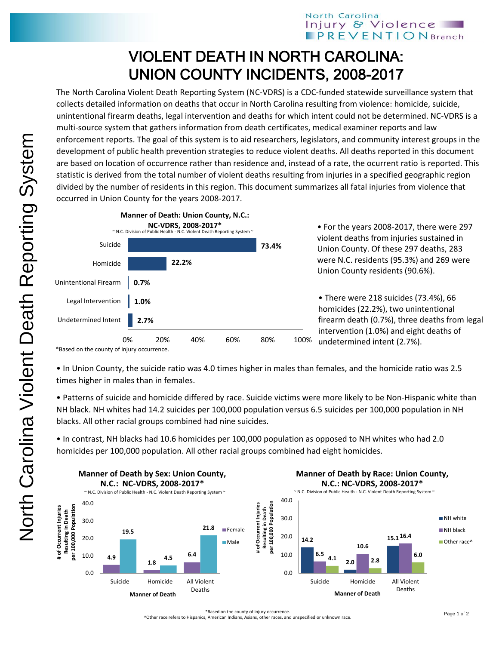## North Carolina Injury & Violence **PREVENTIONBranch**

## VIOLENT DEATH IN NORTH CAROLINA: UNION COUNTY INCIDENTS, 2008-2017

The North Carolina Violent Death Reporting System (NC-VDRS) is a CDC-funded statewide surveillance system that collects detailed information on deaths that occur in North Carolina resulting from violence: homicide, suicide, unintentional firearm deaths, legal intervention and deaths for which intent could not be determined. NC-VDRS is a multi-source system that gathers information from death certificates, medical examiner reports and law enforcement reports. The goal of this system is to aid researchers, legislators, and community interest groups in the development of public health prevention strategies to reduce violent deaths. All deaths reported in this document are based on location of occurrence rather than residence and, instead of a rate, the ocurrent ratio is reported. This statistic is derived from the total number of violent deaths resulting from injuries in a specified geographic region divided by the number of residents in this region. This document summarizes all fatal injuries from violence that occurred in Union County for the years 2008-2017.



• For the years 2008-2017, there were 297 violent deaths from injuries sustained in Union County. Of these 297 deaths, 283 were N.C. residents (95.3%) and 269 were Union County residents (90.6%).

• There were 218 suicides (73.4%), 66 homicides (22.2%), two unintentional firearm death (0.7%), three deaths from legal intervention (1.0%) and eight deaths of undetermined intent (2.7%).

• In Union County, the suicide ratio was 4.0 times higher in males than females, and the homicide ratio was 2.5 times higher in males than in females.

• Patterns of suicide and homicide differed by race. Suicide victims were more likely to be Non-Hispanic white than NH black. NH whites had 14.2 suicides per 100,000 population versus 6.5 suicides per 100,000 population in NH blacks. All other racial groups combined had nine suicides.

• In contrast, NH blacks had 10.6 homicides per 100,000 population as opposed to NH whites who had 2.0 homicides per 100,000 population. All other racial groups combined had eight homicides.



^Other race refers to Hispanics, American Indians, Asians, other races, and unspecified or unknown race.

<sup>\*</sup>Based on the county of injury occurrence.